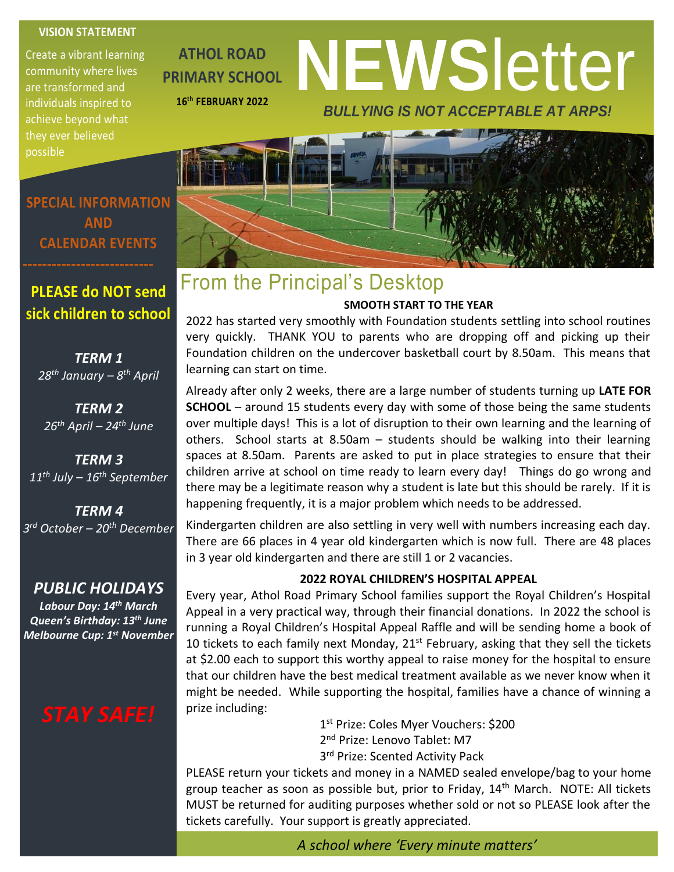#### **VISION STATEMENT**

Create a vibrant learning community where lives are transformed and individuals inspired to achieve beyond what they ever believed possible

**ATHOL ROAD PRIMARY SCHOOL 16th FEBRUARY 2022**

# **NEWS**letter *BULLYING IS NOT ACCEPTABLE AT ARPS!*



# From the Principal's Desktop

#### **SMOOTH START TO THE YEAR**

2022 has started very smoothly with Foundation students settling into school routines very quickly. THANK YOU to parents who are dropping off and picking up their Foundation children on the undercover basketball court by 8.50am. This means that learning can start on time.

Already after only 2 weeks, there are a large number of students turning up **LATE FOR SCHOOL** – around 15 students every day with some of those being the same students over multiple days! This is a lot of disruption to their own learning and the learning of others. School starts at 8.50am – students should be walking into their learning spaces at 8.50am. Parents are asked to put in place strategies to ensure that their children arrive at school on time ready to learn every day! Things do go wrong and there may be a legitimate reason why a student is late but this should be rarely. If it is happening frequently, it is a major problem which needs to be addressed.

Kindergarten children are also settling in very well with numbers increasing each day. There are 66 places in 4 year old kindergarten which is now full. There are 48 places in 3 year old kindergarten and there are still 1 or 2 vacancies.

#### **2022 ROYAL CHILDREN'S HOSPITAL APPEAL**

Every year, Athol Road Primary School families support the Royal Children's Hospital Appeal in a very practical way, through their financial donations. In 2022 the school is running a Royal Children's Hospital Appeal Raffle and will be sending home a book of 10 tickets to each family next Monday,  $21<sup>st</sup>$  February, asking that they sell the tickets at \$2.00 each to support this worthy appeal to raise money for the hospital to ensure that our children have the best medical treatment available as we never know when it might be needed. While supporting the hospital, families have a chance of winning a prize including:

> 1 st Prize: Coles Myer Vouchers: \$200 2<sup>nd</sup> Prize: Lenovo Tablet: M7 3<sup>rd</sup> Prize: Scented Activity Pack

PLEASE return your tickets and money in a NAMED sealed envelope/bag to your home group teacher as soon as possible but, prior to Friday,  $14<sup>th</sup>$  March. NOTE: All tickets MUST be returned for auditing purposes whether sold or not so PLEASE look after the tickets carefully. Your support is greatly appreciated.

**SPECIAL INFORMATION AND CALENDAR EVENTS**

#### **PLEASE do NOT send sick children to school**

*TERM 1 28th January – 8 th April*

*TERM 2 26th April – 24th June*

*TERM 3 11th July – 16th September*

*TERM 4 3 rd October – 20th December*

#### *PUBLIC HOLIDAYS*

*Labour Day: 14th March Queen's Birthday: 13th June Melbourne Cup: 1st November*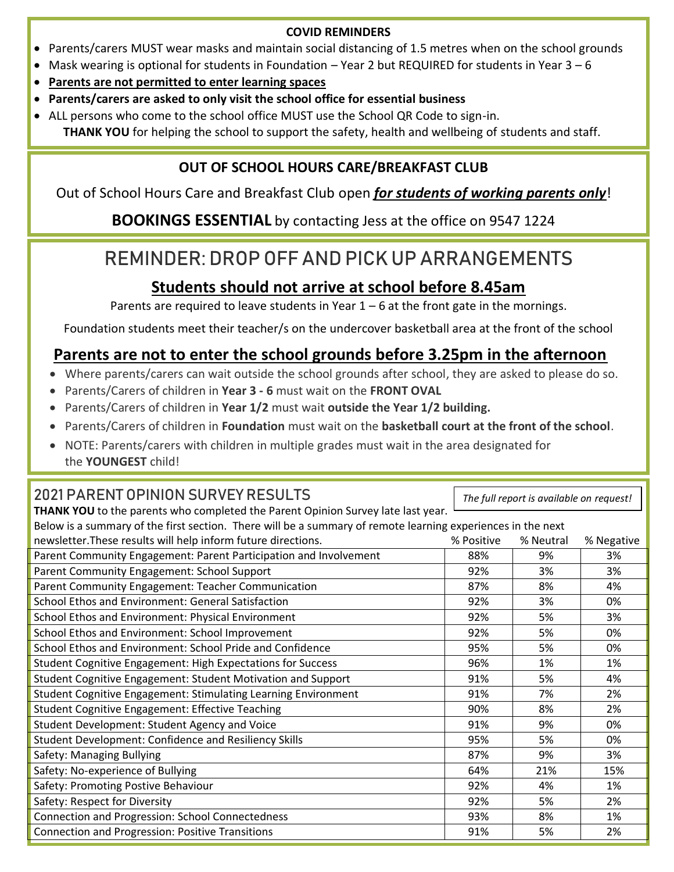#### **COVID REMINDERS**

- Parents/carers MUST wear masks and maintain social distancing of 1.5 metres when on the school grounds
- Mask wearing is optional for students in Foundation Year 2 but REQUIRED for students in Year  $3-6$
- **Parents are not permitted to enter learning spaces**
- **Parents/carers are asked to only visit the school office for essential business**
- ALL persons who come to the school office MUST use the School QR Code to sign-in. **THANK YOU** for helping the school to support the safety, health and wellbeing of students and staff.

#### **OUT OF SCHOOL HOURS CARE/BREAKFAST CLUB**

Out of School Hours Care and Breakfast Club open *for students of working parents only*!

**BOOKINGS ESSENTIAL** by contacting Jess at the office on 9547 1224

## REMINDER: DROP OFF AND PICK UP ARRANGEMENTS

#### **Students should not arrive at school before 8.45am**

Parents are required to leave students in Year  $1 - 6$  at the front gate in the mornings.

Foundation students meet their teacher/s on the undercover basketball area at the front of the school

#### **Parents are not to enter the school grounds before 3.25pm in the afternoon**

- Where parents/carers can wait outside the school grounds after school, they are asked to please do so.
- Parents/Carers of children in **Year 3 - 6** must wait on the **FRONT OVAL**
- Parents/Carers of children in **Year 1/2** must wait **outside the Year 1/2 building.**
- Parents/Carers of children in **Foundation** must wait on the **basketball court at the front of the school**.
- NOTE: Parents/carers with children in multiple grades must wait in the area designated for the **YOUNGEST** child!

#### 2021 PARENT OPINION SURVEY RESULTS

**THANK YOU** to the parents who completed the Parent Opinion Survey late last year.

*The full report is available on request!*

| Below is a summary of the first section. There will be a summary of remote learning experiences in the next |            |           |            |  |
|-------------------------------------------------------------------------------------------------------------|------------|-----------|------------|--|
| newsletter. These results will help inform future directions.                                               | % Positive | % Neutral | % Negative |  |
| Parent Community Engagement: Parent Participation and Involvement                                           | 88%        | 9%        | 3%         |  |
| Parent Community Engagement: School Support                                                                 | 92%        | 3%        | 3%         |  |
| Parent Community Engagement: Teacher Communication                                                          | 87%        | 8%        | 4%         |  |
| School Ethos and Environment: General Satisfaction                                                          | 92%        | 3%        | 0%         |  |
| School Ethos and Environment: Physical Environment                                                          | 92%        | 5%        | 3%         |  |
| School Ethos and Environment: School Improvement                                                            | 92%        | 5%        | 0%         |  |
| School Ethos and Environment: School Pride and Confidence                                                   | 95%        | 5%        | 0%         |  |
| <b>Student Cognitive Engagement: High Expectations for Success</b>                                          | 96%        | 1%        | 1%         |  |
| Student Cognitive Engagement: Student Motivation and Support                                                | 91%        | 5%        | 4%         |  |
| Student Cognitive Engagement: Stimulating Learning Environment                                              | 91%        | 7%        | 2%         |  |
| <b>Student Cognitive Engagement: Effective Teaching</b>                                                     | 90%        | 8%        | 2%         |  |
| Student Development: Student Agency and Voice                                                               | 91%        | 9%        | 0%         |  |
| Student Development: Confidence and Resiliency Skills                                                       | 95%        | 5%        | 0%         |  |
| Safety: Managing Bullying                                                                                   | 87%        | 9%        | 3%         |  |
| Safety: No-experience of Bullying                                                                           | 64%        | 21%       | 15%        |  |
| Safety: Promoting Postive Behaviour                                                                         | 92%        | 4%        | 1%         |  |
| Safety: Respect for Diversity                                                                               | 92%        | 5%        | 2%         |  |
| Connection and Progression: School Connectedness                                                            | 93%        | 8%        | 1%         |  |
| <b>Connection and Progression: Positive Transitions</b>                                                     | 91%        | 5%        | 2%         |  |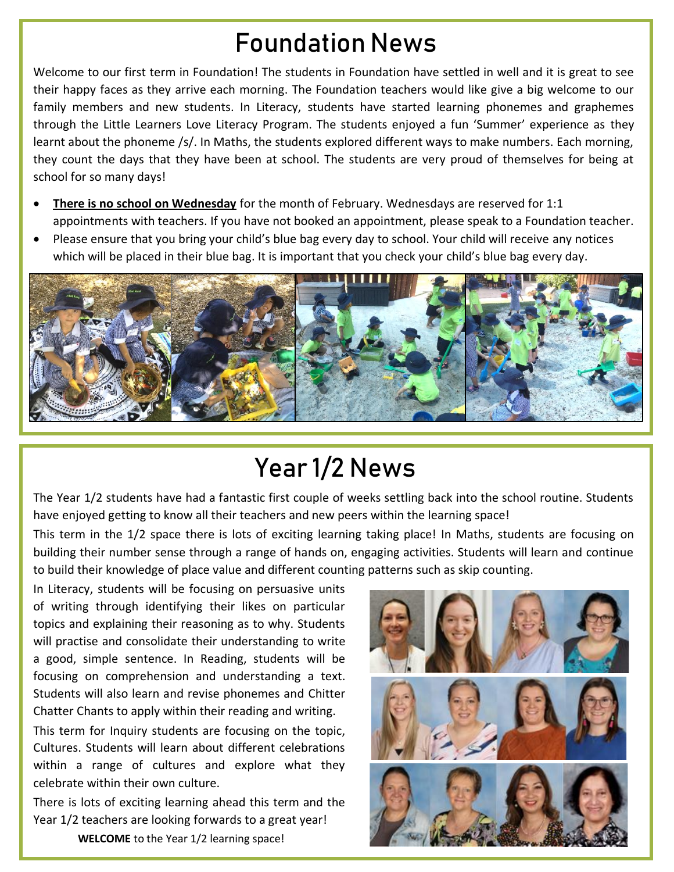# Foundation News

Welcome to our first term in Foundation! The students in Foundation have settled in well and it is great to see their happy faces as they arrive each morning. The Foundation teachers would like give a big welcome to our family members and new students. In Literacy, students have started learning phonemes and graphemes through the Little Learners Love Literacy Program. The students enjoyed a fun 'Summer' experience as they learnt about the phoneme /s/. In Maths, the students explored different ways to make numbers. Each morning, they count the days that they have been at school. The students are very proud of themselves for being at school for so many days!

- **There is no school on Wednesday** for the month of February. Wednesdays are reserved for 1:1 appointments with teachers. If you have not booked an appointment, please speak to a Foundation teacher.
- Please ensure that you bring your child's blue bag every day to school. Your child will receive any notices which will be placed in their blue bag. It is important that you check your child's blue bag every day.



# Year 1/2 News

The Year 1/2 students have had a fantastic first couple of weeks settling back into the school routine. Students have enjoyed getting to know all their teachers and new peers within the learning space!

This term in the 1/2 space there is lots of exciting learning taking place! In Maths, students are focusing on building their number sense through a range of hands on, engaging activities. Students will learn and continue to build their knowledge of place value and different counting patterns such as skip counting.

In Literacy, students will be focusing on persuasive units of writing through identifying their likes on particular topics and explaining their reasoning as to why. Students will practise and consolidate their understanding to write a good, simple sentence. In Reading, students will be focusing on comprehension and understanding a text. Students will also learn and revise phonemes and Chitter Chatter Chants to apply within their reading and writing.

This term for Inquiry students are focusing on the topic, Cultures. Students will learn about different celebrations within a range of cultures and explore what they celebrate within their own culture.

There is lots of exciting learning ahead this term and the Year 1/2 teachers are looking forwards to a great year!  **WELCOME** to the Year 1/2 learning space!